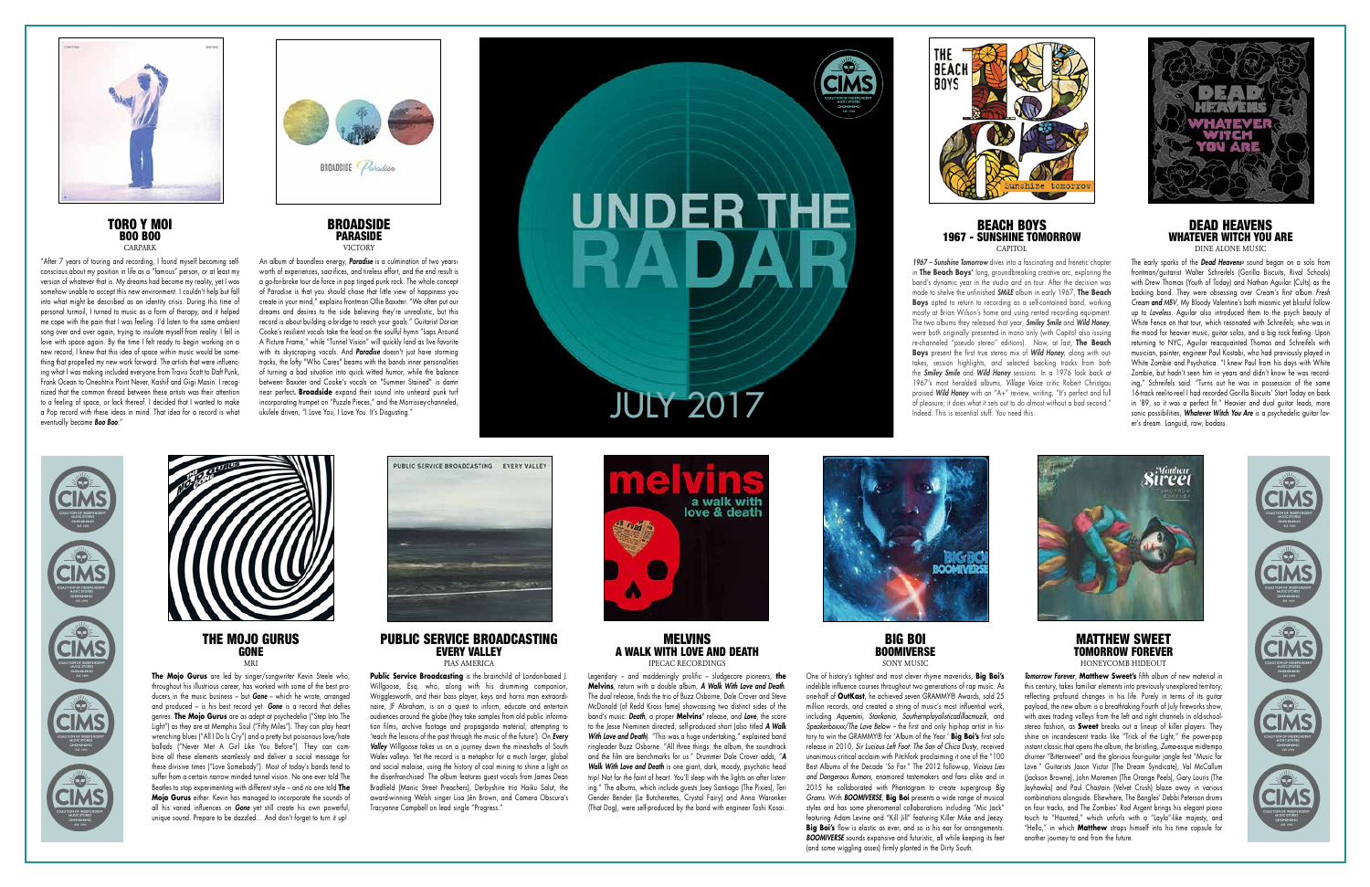THE MOJO GURUS **GONE** MRI

**The Mojo Gurus** are led by singer/songwriter Kevin Steele who, throughout his illustrious career, has worked with some of the best producers in the music business – but *Gone* – which he wrote, arranged and produced – is his best record yet. *Gone* is a record that defies genres. **The Mojo Gurus** are as adept at psychedelia ("Step Into The Light") as they are at Memphis Soul ("Fifty Miles"). They can play heart wrenching blues ("All I Do Is Cry") and a pretty but poisonous love/hate ballads ("Never Met A Girl Like You Before"). They can combine all these elements seamlessly and deliver a social message for these divisive times ("Love Somebody"). Most of today's bands tend to suffer from a certain narrow minded tunnel vision. No one ever told The Beatles to stop experimenting with different style – and no one told **The Mojo Gurus** either. Kevin has managed to incorporate the sounds of all his varied influences on *Gone* yet still create his own powerful, unique sound. Prepare to be dazzled... And don't forget to turn it up!



PUBLIC SERVICE BROADCASTING EVERY VALLEY

PIAS AMERICA

**Public Service Broadcasting** is the brainchild of London-based J. Willgoose, Esq. who, along with his drumming companion, Wrigglesworth, and their bass player, keys and horns man extraordinaire, JF Abraham, is on a quest to inform, educate and entertain audiences around the globe (they take samples from old public information films, archive footage and propaganda material, attempting to 'teach the lessons of the past through the music of the future'). On *Every Valley* Willgoose takes us on a journey down the mineshafts of South Wales valleys. Yet the record is a metaphor for a much larger, global and social malaise, using the history of coal mining to shine a light on the disenfranchised· The album features guest vocals from James Dean Bradfield (Manic Street Preachers), Derbyshire trio Haiku Salut, the award-winning Welsh singer Lisa Jên Brown, and Camera Obscura's Tracyanne Campbell on lead single "Progress."



MELVINS A WALK WITH LOVE AND DEATH IPECAC RECORDINGS

Legendary – and maddeningly prolific – sludgecore pioneers, **the Melvins**, return with a double album, *A Walk With Love and Death*. The dual release, finds the trio of Buzz Osborne, Dale Crover and Steve McDonald (of Redd Kross fame) showcasing two distinct sides of the band's music: *Death*, a proper **Melvins'** release, and *Love*, the score to the Jesse Nieminen directed, self-produced short (also titled *A Walk*  **With Love and Death**). "This was a huge undertaking," explained band ringleader Buzz Osborne. "All three things: the album, the soundtrack and the film are benchmarks for us." Drummer Dale Crover adds, "*A Walk With Love and Death* is one giant, dark, moody, psychotic head trip! Not for the faint of heart. You'll sleep with the lights on after listening." The albums, which include guests Joey Santiago (The Pixies), Teri Gender Bender (Le Butcherettes, Crystal Fairy) and Anna Waronker (That Dog), were self-produced by the band with engineer Toshi Kosai.



BIG BOI **BOOMIVERSE** SONY MUSIC

An album of boundless energy, *Paradise* is a culmination of two years› worth of experiences, sacrifices, and tireless effort, and the end result is a go-for-broke tour de force in pop tinged punk rock. The whole concept of Paradise is that you should chase that little view of happiness you create in your mind," explains frontman Ollie Baxxter. "We often put our dreams and desires to the side believing they're unrealistic, but this record is about building a bridge to reach your goals." Guitarist Dorian Cooke's resilient vocals take the lead on the soulful hymn "Laps Around A Picture Frame," while "Tunnel Vision" will quickly land as live favorite with its skyscraping vocals. And *Paradise* doesn't just have storming tracks, the lofty "Who Cares" beams with the bands inner personalities of turning a bad situation into quick witted humor, while the balance between Baxxter and Cooke's vocals on "Summer Stained" is damn near perfect*.* **Broadside** expand their sound into unheard punk turf incorporating trumpet on "Puzzle Pieces," and the Morrissey-channeled, near perfect. **Broadside** expand their sound into unheard punk turf<br>incorporating trumpet on "Puzzle Pieces," and the Morrissey-channeled,<br>ukulele driven, "I Love You, I Love You. It's Disgusting."



# UNDER THE







One of history's tightest and most clever rhyme mavericks, **Big Boi's** indelible influence courses throughout two generations of rap music. As one-half of **OutKast**, he achieved seven GRAMMY® Awards, sold 25 million records, and created a string of music's most influential work, including *Aquemini*, *Stankonia*, *Southernplayalisticadillacmuzik*, and *Speakerboxxx/The Love Below –* the first and only hip-hop artist in history to win the GRAMMY® for 'Album of the Year.' **Big Boi's** first solo release in 2010, *Sir Lucious Left Foot: The Son of Chico Dusty*, received unanimous critical acclaim with Pitchfork proclaiming it one of the "100 Best Albums of the Decade 'So Far." The 2012 follow-up, *Vicious Lies and Dangerous Rumors*, enamored tastemakers and fans alike and in 2015 he collaborated with Phantogram to create supergroup *Big Grams*. With *BOOMIVERSE*, **Big Boi** presents a wide range of musical styles and has some phenomenal collaborations including "Mic Jack" featuring Adam Levine and "Kill Jill" featuring Killer Mike and Jeezy. Big Boi's flow is elastic as ever, and so is his ear for arrangements. *BOOMIVERSE* sounds expansive and futuristic, all while keeping its feet (and some wiggling asses) firmly planted in the Dirty South.



*Tomorrow Forever*, **Matthew Sweet's** fifth album of new material in this century, takes familiar elements into previously unexplored territory, reflecting profound changes in his life. Purely in terms of its guitar payload, the new album is a breathtaking Fourth of July fireworks show, with axes trading volleys from the left and right channels in old-schoolstereo fashion, as **Sweet** breaks out a lineup of killer players. They shine on incandescent tracks like "Trick of the Light," the power-pop instant classic that opens the album, the bristling, *Zuma*-esque midtempo churner "Bittersweet" and the glorious four-guitar jangle fest "Music for Love." Guitarists Jason Victor (The Dream Syndicate), Val McCallum (Jackson Browne), John Moremen (The Orange Peels), Gary Louris (The Jayhawks) and Paul Chastain (Velvet Crush) blaze away in various combinations alongside. Elsewhere, The Bangles' Debbi Peterson drums on four tracks, and The Zombies' Rod Argent brings his elegant piano touch to "Haunted," which unfurls with a "Layla"-like majesty, and "Hello," in which **Matthew** straps himself into his time capsule for another journey to and from the future.





TORO Y MOI **BOO BOO** CARPARK

"After 7 years of touring and recording, I found myself becoming selfconscious about my position in life as a "famous" person, or at least my version of whatever that is. My dreams had become my reality, yet I was somehow unable to accept this new environment. I couldn't help but fall into what might be described as an identity crisis. During this time of personal turmoil, I turned to music as a form of therapy, and it helped me cope with the pain that I was feeling. I'd listen to the same ambient song over and over again, trying to insulate myself from reality. I fell in love with space again. By the time I felt ready to begin working on a new record, I knew that this idea of space within music would be something that propelled my new work forward. The artists that were influencing what I was making included everyone from Travis Scott to Daft Punk, Frank Ocean to Oneohtrix Point Never, Kashif and Gigi Masin. I recognized that the common thread between these artists was their attention to a feeling of space, or lack thereof. I decided that I wanted to make a Pop record with these ideas in mind. That idea for a record is what eventually became *Boo Boo*."





## BEACH BOYS 1967 - SUNSHINE TOMORROW CAPITOL

*1967 – Sunshine Tomorrow* dives into a fascinating and frenetic chapter in **The Beach Boys'** long, groundbreaking creative arc, exploring the band's dynamic year in the studio and on tour. After the decision was made to shelve the unfinished *SMiLE* album in early 1967, **The Beach Boys** opted to return to recording as a self-contained band, working mostly at Brian Wilson's home and using rented recording equipment. The two albums they released that year, *Smiley Smile* and *Wild Honey*, were both originally presented in mono only (with Capitol also issuing re-channeled "pseudo stereo" editions). Now, at last, **The Beach Boys** present the first true stereo mix of *Wild Honey*, along with outtakes, session highlights, and selected backing tracks from both the *Smiley Smile* and *Wild Honey* sessions. In a 1976 look back at 1967's most heralded albums, *Village Voice* critic Robert Christgau praised *Wild Honey* with an "A+" review, writing, "It's perfect and full of pleasure; it does what it sets out to do almost without a bad second."



Indeed. This is essential stuff. You need this.



## DEAD HEAVENS WHATEVER WITCH YOU ARE DINE ALONE MUSIC

The early sparks of the *Dead Heavens›* sound began on a solo from frontman/guitarist Walter Schreifels (Gorilla Biscuits, Rival Schools) with Drew Thomas (Youth of Today) and Nathan Aguilar (Cults) as the backing band. They were obsessing over Cream's first album *Fresh Cream and MBV*, My Bloody Valentine's both miasmic yet blissful follow up to *Loveless*. Aguilar also introduced them to the psych beauty of White Fence on that tour, which resonated with Schreifels, who was in the mood for heavier music, guitar solos, and a big rock feeling. Upon returning to NYC, Aguilar reacquainted Thomas and Schreifels with musician, painter, engineer Paul Kostabi, who had previously played in White Zombie and Psychotica. "I knew Paul from his days with White Zombie, but hadn't seen him in years and didn't know he was recording," Schreifels said. "Turns out he was in possession of the same 16-track reel-to-reel I had recorded Gorilla Biscuits' Start Today on back in '89, so it was a perfect fit." Heavier and dual guitar leads, more sonic possibilities, *Whatever Witch You Are* is a psychedelic guitar lover's dream. Languid, raw, badass.